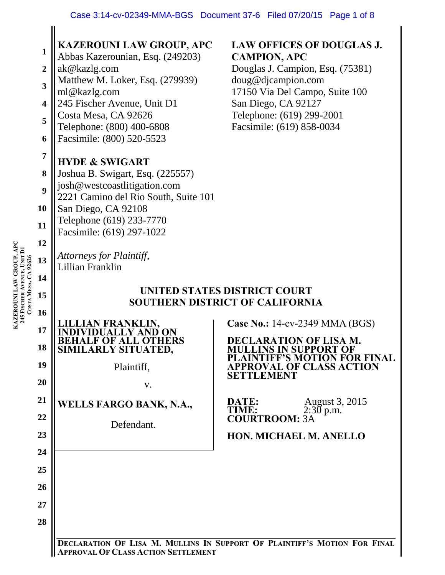| LAW GROUP, APC<br>245 FISCHER AVENUE, UNIT DI<br>COSTA MESA, CA 92626<br>KAZEROUNI | $\mathbf{1}$<br>$\overline{2}$<br>3<br>$\overline{\mathbf{4}}$<br>5<br>6<br>7<br>8<br>9<br>10<br>11<br>12<br>13<br>14<br>15<br>16<br>17 | KAZEROUNI LAW GROUP, APC<br>Abbas Kazerounian, Esq. (249203)<br>ak@kazlg.com<br>Matthew M. Loker, Esq. (279939)<br>ml@kazlg.com<br>245 Fischer Avenue, Unit D1<br>Costa Mesa, CA 92626<br>Telephone: (800) 400-6808<br>Facsimile: (800) 520-5523<br><b>HYDE &amp; SWIGART</b><br>Joshua B. Swigart, Esq. (225557)<br>josh@westcoastlitigation.com<br>2221 Camino del Rio South, Suite 101<br>San Diego, CA 92108<br>Telephone (619) 233-7770<br>Facsimile: (619) 297-1022<br>Attorneys for Plaintiff,<br>Lillian Franklin<br>JAN FRANKLIN, | <b>LAW OFFICES OF DOUGLAS J.</b><br><b>CAMPION, APC</b><br>Douglas J. Campion, Esq. (75381)<br>doug@djcampion.com<br>17150 Via Del Campo, Suite 100<br>San Diego, CA 92127<br>Telephone: (619) 299-2001<br>Facsimile: (619) 858-0034<br>UNITED STATES DISTRICT COURT<br>SOUTHERN DISTRICT OF CALIFORNIA<br><b>Case No.: 14-cv-2349 MMA (BGS)</b> |
|------------------------------------------------------------------------------------|-----------------------------------------------------------------------------------------------------------------------------------------|--------------------------------------------------------------------------------------------------------------------------------------------------------------------------------------------------------------------------------------------------------------------------------------------------------------------------------------------------------------------------------------------------------------------------------------------------------------------------------------------------------------------------------------------|--------------------------------------------------------------------------------------------------------------------------------------------------------------------------------------------------------------------------------------------------------------------------------------------------------------------------------------------------|
|                                                                                    | 18                                                                                                                                      | <b>F OF ALL OTHERS</b><br>SIMILARLY SITUATED,                                                                                                                                                                                                                                                                                                                                                                                                                                                                                              | <b>DECLARATION OF LISA M.</b><br><b>MULLINS IN SUPPORT OF</b>                                                                                                                                                                                                                                                                                    |
|                                                                                    | 19                                                                                                                                      | Plaintiff,                                                                                                                                                                                                                                                                                                                                                                                                                                                                                                                                 | <b>PLAINTIFF'S MOTION FOR FINAL</b><br>APPROVAL OF CLASS ACTION<br>SETTLEMENT                                                                                                                                                                                                                                                                    |
|                                                                                    | 20                                                                                                                                      | V.                                                                                                                                                                                                                                                                                                                                                                                                                                                                                                                                         |                                                                                                                                                                                                                                                                                                                                                  |
|                                                                                    | 21                                                                                                                                      | <b>WELLS FARGO BANK, N.A.,</b>                                                                                                                                                                                                                                                                                                                                                                                                                                                                                                             | DATE:<br>August 3, 2015<br>TIME:<br>$2:30$ p.m.                                                                                                                                                                                                                                                                                                  |
|                                                                                    | 22                                                                                                                                      | Defendant.                                                                                                                                                                                                                                                                                                                                                                                                                                                                                                                                 | <b>COURTROOM: 3A</b>                                                                                                                                                                                                                                                                                                                             |
|                                                                                    | 23<br>24                                                                                                                                |                                                                                                                                                                                                                                                                                                                                                                                                                                                                                                                                            | <b>HON. MICHAEL M. ANELLO</b>                                                                                                                                                                                                                                                                                                                    |
|                                                                                    | 25                                                                                                                                      |                                                                                                                                                                                                                                                                                                                                                                                                                                                                                                                                            |                                                                                                                                                                                                                                                                                                                                                  |
|                                                                                    | 26                                                                                                                                      |                                                                                                                                                                                                                                                                                                                                                                                                                                                                                                                                            |                                                                                                                                                                                                                                                                                                                                                  |
|                                                                                    | 27                                                                                                                                      |                                                                                                                                                                                                                                                                                                                                                                                                                                                                                                                                            |                                                                                                                                                                                                                                                                                                                                                  |
|                                                                                    | 28                                                                                                                                      |                                                                                                                                                                                                                                                                                                                                                                                                                                                                                                                                            |                                                                                                                                                                                                                                                                                                                                                  |
|                                                                                    |                                                                                                                                         |                                                                                                                                                                                                                                                                                                                                                                                                                                                                                                                                            | <b>DECLARATION OF LISA M. MULLINS IN SUPPORT OF PLAINTIFF'S MOTION FOR FINAL</b>                                                                                                                                                                                                                                                                 |

**S MOTION FOR FINAL APPROVAL OF CLASS ACTION SETTLEMENT**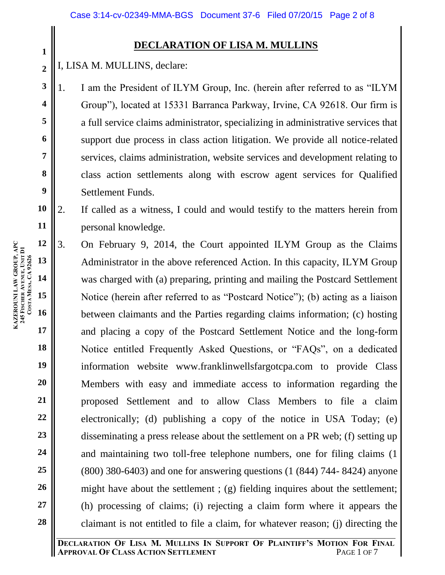# **DECLARATION OF LISA M. MULLINS**

I, LISA M. MULLINS, declare:

1. I am the President of ILYM Group, Inc. (herein after referred to as "ILYM Group"), located at 15331 Barranca Parkway, Irvine, CA 92618. Our firm is a full service claims administrator, specializing in administrative services that support due process in class action litigation. We provide all notice-related services, claims administration, website services and development relating to class action settlements along with escrow agent services for Qualified Settlement Funds.

**10 11** 2. If called as a witness, I could and would testify to the matters herein from personal knowledge.

**12 13 14 15 16 17 18 19 20 21 22 23 24 25 26 27 28** 3. On February 9, 2014, the Court appointed ILYM Group as the Claims Administrator in the above referenced Action. In this capacity, ILYM Group was charged with (a) preparing, printing and mailing the Postcard Settlement Notice (herein after referred to as "Postcard Notice"); (b) acting as a liaison between claimants and the Parties regarding claims information; (c) hosting and placing a copy of the Postcard Settlement Notice and the long-form Notice entitled Frequently Asked Questions, or "FAQs", on a dedicated information website www.franklinwellsfargotcpa.com to provide Class Members with easy and immediate access to information regarding the proposed Settlement and to allow Class Members to file a claim electronically; (d) publishing a copy of the notice in USA Today; (e) disseminating a press release about the settlement on a PR web; (f) setting up and maintaining two toll-free telephone numbers, one for filing claims (1 (800) 380-6403) and one for answering questions (1 (844) 744- 8424) anyone might have about the settlement ; (g) fielding inquires about the settlement; (h) processing of claims; (i) rejecting a claim form where it appears the claimant is not entitled to file a claim, for whatever reason; (j) directing the

**1**

**2**

**3**

**4**

**5**

**6**

**7**

**8**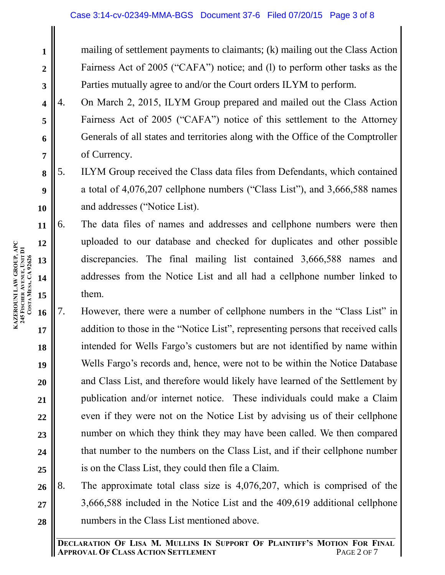mailing of settlement payments to claimants; (k) mailing out the Class Action Fairness Act of 2005 ("CAFA") notice; and (l) to perform other tasks as the Parties mutually agree to and/or the Court orders ILYM to perform.

- 4. On March 2, 2015, ILYM Group prepared and mailed out the Class Action Fairness Act of 2005 ("CAFA") notice of this settlement to the Attorney Generals of all states and territories along with the Office of the Comptroller of Currency.
- 5. ILYM Group received the Class data files from Defendants, which contained a total of 4,076,207 cellphone numbers ("Class List"), and 3,666,588 names and addresses ("Notice List).
- 6. The data files of names and addresses and cellphone numbers were then uploaded to our database and checked for duplicates and other possible discrepancies. The final mailing list contained 3,666,588 names and addresses from the Notice List and all had a cellphone number linked to them.
- **16 17 18 19 20 21 22 23 24 25** 7. However, there were a number of cellphone numbers in the "Class List" in addition to those in the "Notice List", representing persons that received calls intended for Wells Fargo's customers but are not identified by name within Wells Fargo's records and, hence, were not to be within the Notice Database and Class List, and therefore would likely have learned of the Settlement by publication and/or internet notice. These individuals could make a Claim even if they were not on the Notice List by advising us of their cellphone number on which they think they may have been called. We then compared that number to the numbers on the Class List, and if their cellphone number is on the Class List, they could then file a Claim.
- **26 27 28** 8. The approximate total class size is 4,076,207, which is comprised of the 3,666,588 included in the Notice List and the 409,619 additional cellphone numbers in the Class List mentioned above.

**1**

**2**

**3**

**4**

**5**

**6**

**7**

**8**

**9**

**10**

**11**

**12**

**13**

**14**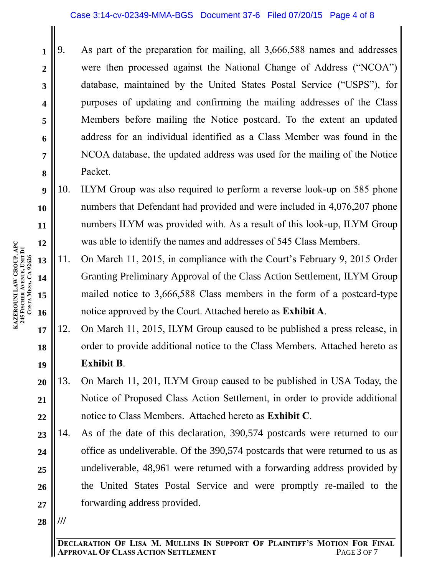- **1 2 3 4 5 6 7 8** 9. As part of the preparation for mailing, all 3,666,588 names and addresses were then processed against the National Change of Address ("NCOA") database, maintained by the United States Postal Service ("USPS"), for purposes of updating and confirming the mailing addresses of the Class Members before mailing the Notice postcard. To the extent an updated address for an individual identified as a Class Member was found in the NCOA database, the updated address was used for the mailing of the Notice Packet.
- **9 10 11 12** 10. ILYM Group was also required to perform a reverse look-up on 585 phone numbers that Defendant had provided and were included in 4,076,207 phone numbers ILYM was provided with. As a result of this look-up, ILYM Group was able to identify the names and addresses of 545 Class Members.
- **13 14 15 16** 11. On March 11, 2015, in compliance with the Court's February 9, 2015 Order Granting Preliminary Approval of the Class Action Settlement, ILYM Group mailed notice to 3,666,588 Class members in the form of a postcard-type notice approved by the Court. Attached hereto as **Exhibit A**.
- **17 18 19** 12. On March 11, 2015, ILYM Group caused to be published a press release, in order to provide additional notice to the Class Members. Attached hereto as **Exhibit B**.
- **20 21 22** 13. On March 11, 201, ILYM Group caused to be published in USA Today, the Notice of Proposed Class Action Settlement, in order to provide additional notice to Class Members. Attached hereto as **Exhibit C**.
- **23 24 25 26 27** 14. As of the date of this declaration, 390,574 postcards were returned to our office as undeliverable. Of the 390,574 postcards that were returned to us as undeliverable, 48,961 were returned with a forwarding address provided by the United States Postal Service and were promptly re-mailed to the forwarding address provided.
- **28 ///**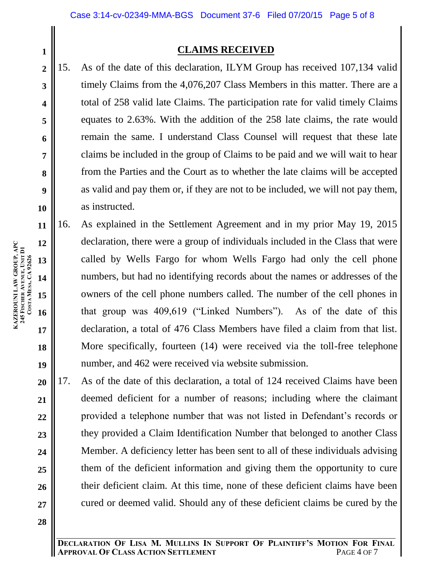# **CLAIMS RECEIVED**

15. As of the date of this declaration, ILYM Group has received 107,134 valid timely Claims from the 4,076,207 Class Members in this matter. There are a total of 258 valid late Claims. The participation rate for valid timely Claims equates to 2.63%. With the addition of the 258 late claims, the rate would remain the same. I understand Class Counsel will request that these late claims be included in the group of Claims to be paid and we will wait to hear from the Parties and the Court as to whether the late claims will be accepted as valid and pay them or, if they are not to be included, we will not pay them, as instructed.

- 16. As explained in the Settlement Agreement and in my prior May 19, 2015 declaration, there were a group of individuals included in the Class that were called by Wells Fargo for whom Wells Fargo had only the cell phone numbers, but had no identifying records about the names or addresses of the owners of the cell phone numbers called. The number of the cell phones in that group was 409,619 ("Linked Numbers"). As of the date of this declaration, a total of 476 Class Members have filed a claim from that list. More specifically, fourteen (14) were received via the toll-free telephone number, and 462 were received via website submission.
- **20 21 22 23 24 25 26 27** 17. As of the date of this declaration, a total of 124 received Claims have been deemed deficient for a number of reasons; including where the claimant provided a telephone number that was not listed in Defendant's records or they provided a Claim Identification Number that belonged to another Class Member. A deficiency letter has been sent to all of these individuals advising them of the deficient information and giving them the opportunity to cure their deficient claim. At this time, none of these deficient claims have been cured or deemed valid. Should any of these deficient claims be cured by the

**19**

**28**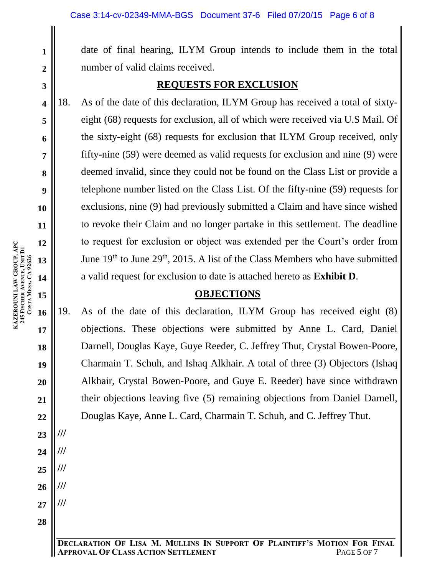date of final hearing, ILYM Group intends to include them in the total number of valid claims received.

# **REQUESTS FOR EXCLUSION**

18. As of the date of this declaration, ILYM Group has received a total of sixtyeight (68) requests for exclusion, all of which were received via U.S Mail. Of the sixty-eight (68) requests for exclusion that ILYM Group received, only fifty-nine (59) were deemed as valid requests for exclusion and nine (9) were deemed invalid, since they could not be found on the Class List or provide a telephone number listed on the Class List. Of the fifty-nine (59) requests for exclusions, nine (9) had previously submitted a Claim and have since wished to revoke their Claim and no longer partake in this settlement. The deadline to request for exclusion or object was extended per the Court's order from June  $19<sup>th</sup>$  to June  $29<sup>th</sup>$ ,  $2015$ . A list of the Class Members who have submitted a valid request for exclusion to date is attached hereto as **Exhibit D**.

### **OBJECTIONS**

19. As of the date of this declaration, ILYM Group has received eight (8) objections. These objections were submitted by Anne L. Card, Daniel Darnell, Douglas Kaye, Guye Reeder, C. Jeffrey Thut, Crystal Bowen-Poore, Charmain T. Schuh, and Ishaq Alkhair. A total of three (3) Objectors (Ishaq Alkhair, Crystal Bowen-Poore, and Guye E. Reeder) have since withdrawn their objections leaving five (5) remaining objections from Daniel Darnell, Douglas Kaye, Anne L. Card, Charmain T. Schuh, and C. Jeffrey Thut.

**1**

**2**

**3**

**4**

**5**

**6**

**7**

**8**

**9**

**10**

**11**

**12**

**14**

**15**

**18**

**19**

**20**

**21**

**22**

**23**

**///**

**///**

**///**

**///**

**///**

**24**

**25**

**26**

**27**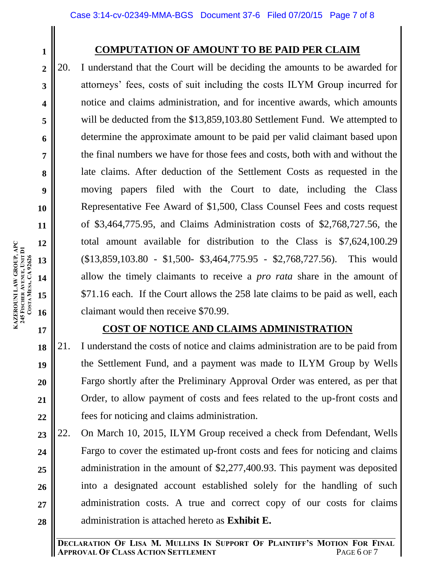**4**

**5**

**6**

**7**

**8**

**9**

**10**

**11**

**12**

**13**

**14**

**15**

**16**

**17**

**18**

**19**

**20**

**21**

**22**

# **COMPUTATION OF AMOUNT TO BE PAID PER CLAIM**

20. I understand that the Court will be deciding the amounts to be awarded for attorneys' fees, costs of suit including the costs ILYM Group incurred for notice and claims administration, and for incentive awards, which amounts will be deducted from the \$13,859,103.80 Settlement Fund. We attempted to determine the approximate amount to be paid per valid claimant based upon the final numbers we have for those fees and costs, both with and without the late claims. After deduction of the Settlement Costs as requested in the moving papers filed with the Court to date, including the Class Representative Fee Award of \$1,500, Class Counsel Fees and costs request of \$3,464,775.95, and Claims Administration costs of \$2,768,727.56, the total amount available for distribution to the Class is \$7,624,100.29 (\$13,859,103.80 - \$1,500- \$3,464,775.95 - \$2,768,727.56). This would allow the timely claimants to receive a *pro rata* share in the amount of \$71.16 each. If the Court allows the 258 late claims to be paid as well, each claimant would then receive \$70.99.

# **COST OF NOTICE AND CLAIMS ADMINISTRATION**

21. I understand the costs of notice and claims administration are to be paid from the Settlement Fund, and a payment was made to ILYM Group by Wells Fargo shortly after the Preliminary Approval Order was entered, as per that Order, to allow payment of costs and fees related to the up-front costs and fees for noticing and claims administration.

**23 24 25 26 27 28** 22. On March 10, 2015, ILYM Group received a check from Defendant, Wells Fargo to cover the estimated up-front costs and fees for noticing and claims administration in the amount of \$2,277,400.93. This payment was deposited into a designated account established solely for the handling of such administration costs. A true and correct copy of our costs for claims administration is attached hereto as **Exhibit E.**